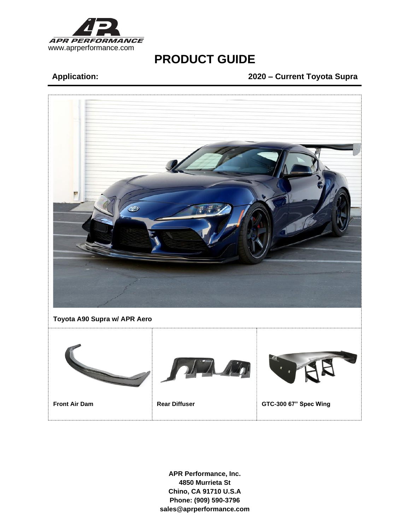

# **Application: 2020 – Current Toyota Supra**

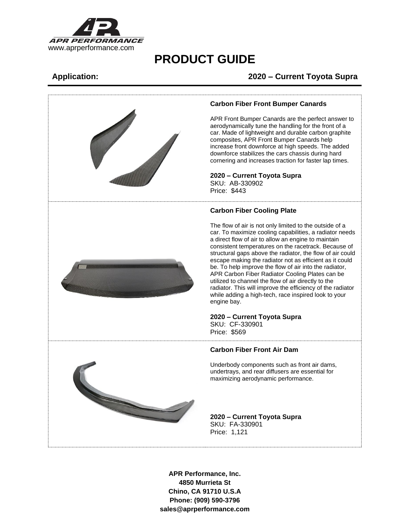

# **Application: 2020 – Current Toyota Supra**



## **Carbon Fiber Front Bumper Canards**

APR Front Bumper Canards are the perfect answer to aerodynamically tune the handling for the front of a car. Made of lightweight and durable carbon graphite composites, APR Front Bumper Canards help increase front downforce at high speeds. The added downforce stabilizes the cars chassis during hard cornering and increases traction for faster lap times.

### **2020 – Current Toyota Supra** SKU: AB-330902

Price: \$443

## **Carbon Fiber Cooling Plate**

The flow of air is not only limited to the outside of a car. To maximize cooling capabilities, a radiator needs a direct flow of air to allow an engine to maintain consistent temperatures on the racetrack. Because of structural gaps above the radiator, the flow of air could escape making the radiator not as efficient as it could be. To help improve the flow of air into the radiator, APR Carbon Fiber Radiator Cooling Plates can be utilized to channel the flow of air directly to the radiator. This will improve the efficiency of the radiator while adding a high-tech, race inspired look to your

## **2020 – Current Toyota Supra**

SKU: CF-330901 Price: \$569

## **Carbon Fiber Front Air Dam**

Underbody components such as front air dams, undertrays, and rear diffusers are essential for maximizing aerodynamic performance.

## **2020 – Current Toyota Supra** SKU: FA-330901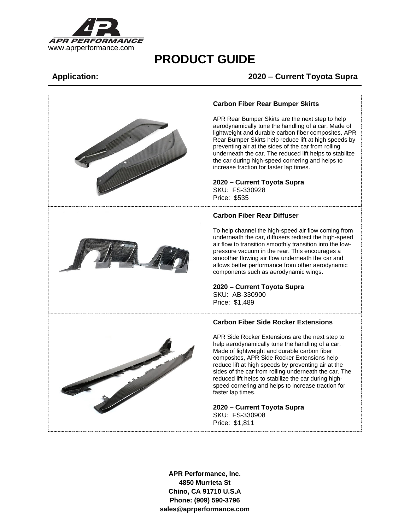

# **Application: 2020 – Current Toyota Supra**

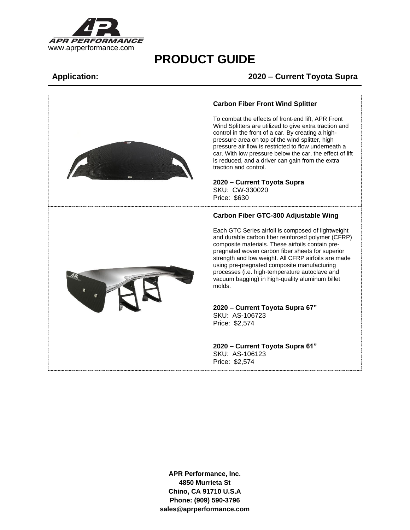

# **Application: 2020 – Current Toyota Supra**



### **Carbon Fiber Front Wind Splitter**

To combat the effects of front-end lift, APR Front Wind Splitters are utilized to give extra traction and control in the front of a car. By creating a highpressure area on top of the wind splitter, high pressure air flow is restricted to flow underneath a car. With low pressure below the car, the effect of lift is reduced, and a driver can gain from the extra traction and control.

**2020 – Current Toyota Supra** SKU: CW-330020 Price: \$630

### **Carbon Fiber GTC-300 Adjustable Wing**

Each GTC Series airfoil is composed of lightweight and durable carbon fiber reinforced polymer (CFRP) composite materials. These airfoils contain prepregnated woven carbon fiber sheets for superior strength and low weight. All CFRP airfoils are made using pre-pregnated composite manufacturing processes (i.e. high-temperature autoclave and vacuum bagging) in high-quality aluminum billet molds.

### **2020 – Current Toyota Supra 67"** SKU: AS-106723 Price: \$2,574

**2020 – Current Toyota Supra 61"** SKU: AS-106123 Price: \$2,574